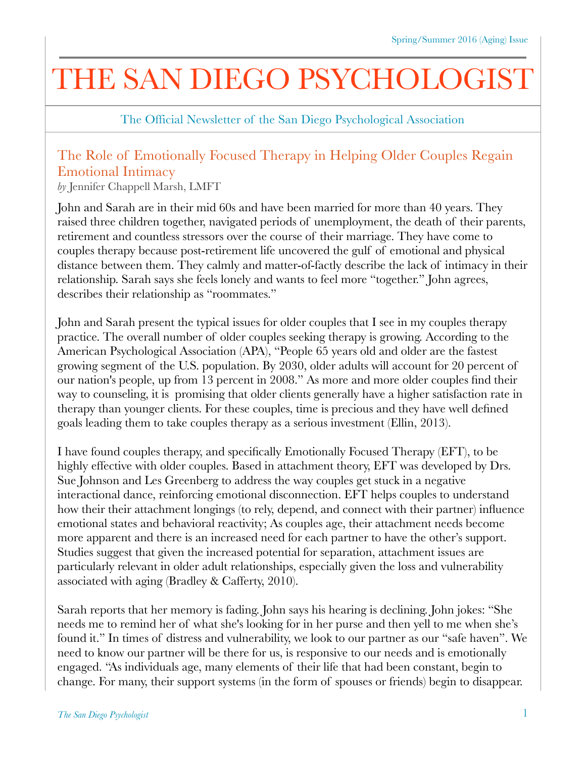## THE SAN DIEGO PSYCHOLOGI

The Official Newsletter of the San Diego Psychological Association

## The Role of Emotionally Focused Therapy in Helping Older Couples Regain Emotional Intimacy

*by* Jennifer Chappell Marsh, LMFT

John and Sarah are in their mid 60s and have been married for more than 40 years. They raised three children together, navigated periods of unemployment, the death of their parents, retirement and countless stressors over the course of their marriage. They have come to couples therapy because post-retirement life uncovered the gulf of emotional and physical distance between them. They calmly and matter-of-factly describe the lack of intimacy in their relationship. Sarah says she feels lonely and wants to feel more "together." John agrees, describes their relationship as "roommates."

John and Sarah present the typical issues for older couples that I see in my couples therapy practice. The overall number of older couples seeking therapy is growing. According to the American Psychological Association (APA), "People 65 years old and older are the fastest growing segment of the U.S. population. By 2030, older adults will account for 20 percent of our nation's people, up from 13 percent in 2008." As more and more older couples find their way to counseling, it is promising that older clients generally have a higher satisfaction rate in therapy than younger clients. For these couples, time is precious and they have well defined goals leading them to take couples therapy as a serious investment (Ellin, 2013).

I have found couples therapy, and specifically Emotionally Focused Therapy (EFT), to be highly effective with older couples. Based in attachment theory, EFT was developed by Drs. Sue Johnson and Les Greenberg to address the way couples get stuck in a negative interactional dance, reinforcing emotional disconnection. EFT helps couples to understand how their their attachment longings (to rely, depend, and connect with their partner) influence emotional states and behavioral reactivity; As couples age, their attachment needs become more apparent and there is an increased need for each partner to have the other's support. Studies suggest that given the increased potential for separation, attachment issues are particularly relevant in older adult relationships, especially given the loss and vulnerability associated with aging (Bradley & Cafferty, 2010).

Sarah reports that her memory is fading. John says his hearing is declining. John jokes: "She needs me to remind her of what she's looking for in her purse and then yell to me when she's found it." In times of distress and vulnerability, we look to our partner as our "safe haven". We need to know our partner will be there for us, is responsive to our needs and is emotionally engaged. "As individuals age, many elements of their life that had been constant, begin to change. For many, their support systems (in the form of spouses or friends) begin to disappear.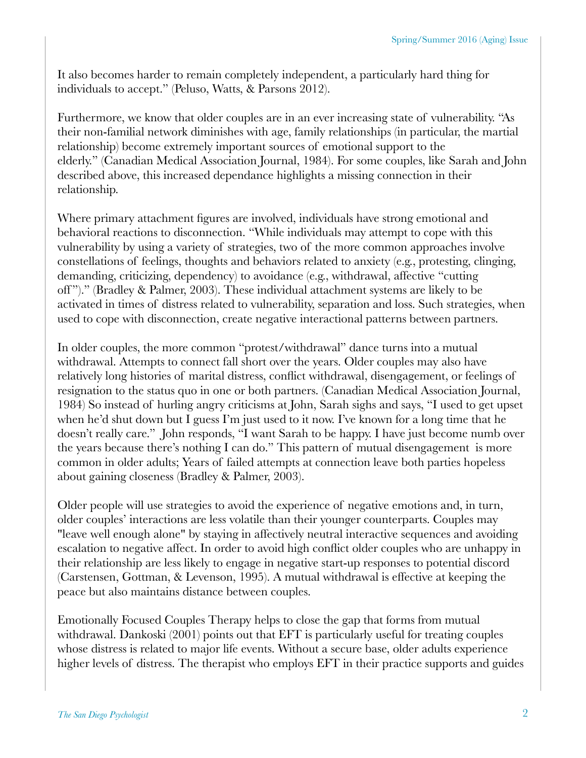It also becomes harder to remain completely independent, a particularly hard thing for individuals to accept." (Peluso, Watts, & Parsons 2012).

Furthermore, we know that older couples are in an ever increasing state of vulnerability. "As their non-familial network diminishes with age, family relationships (in particular, the martial relationship) become extremely important sources of emotional support to the elderly." (Canadian Medical Association Journal, 1984). For some couples, like Sarah and John described above, this increased dependance highlights a missing connection in their relationship.

Where primary attachment figures are involved, individuals have strong emotional and behavioral reactions to disconnection. "While individuals may attempt to cope with this vulnerability by using a variety of strategies, two of the more common approaches involve constellations of feelings, thoughts and behaviors related to anxiety (e.g., protesting, clinging, demanding, criticizing, dependency) to avoidance (e.g., withdrawal, affective "cutting off ")." (Bradley & Palmer, 2003). These individual attachment systems are likely to be activated in times of distress related to vulnerability, separation and loss. Such strategies, when used to cope with disconnection, create negative interactional patterns between partners.

In older couples, the more common "protest/withdrawal" dance turns into a mutual withdrawal. Attempts to connect fall short over the years. Older couples may also have relatively long histories of marital distress, conflict withdrawal, disengagement, or feelings of resignation to the status quo in one or both partners. (Canadian Medical Association Journal, 1984) So instead of hurling angry criticisms at John, Sarah sighs and says, "I used to get upset when he'd shut down but I guess I'm just used to it now. I've known for a long time that he doesn't really care." John responds, "I want Sarah to be happy. I have just become numb over the years because there's nothing I can do." This pattern of mutual disengagement is more common in older adults; Years of failed attempts at connection leave both parties hopeless about gaining closeness (Bradley & Palmer, 2003).

Older people will use strategies to avoid the experience of negative emotions and, in turn, older couples' interactions are less volatile than their younger counterparts. Couples may "leave well enough alone" by staying in affectively neutral interactive sequences and avoiding escalation to negative affect. In order to avoid high conflict older couples who are unhappy in their relationship are less likely to engage in negative start-up responses to potential discord (Carstensen, Gottman, & Levenson, 1995). A mutual withdrawal is effective at keeping the peace but also maintains distance between couples.

Emotionally Focused Couples Therapy helps to close the gap that forms from mutual withdrawal. Dankoski (2001) points out that EFT is particularly useful for treating couples whose distress is related to major life events. Without a secure base, older adults experience higher levels of distress. The therapist who employs EFT in their practice supports and guides